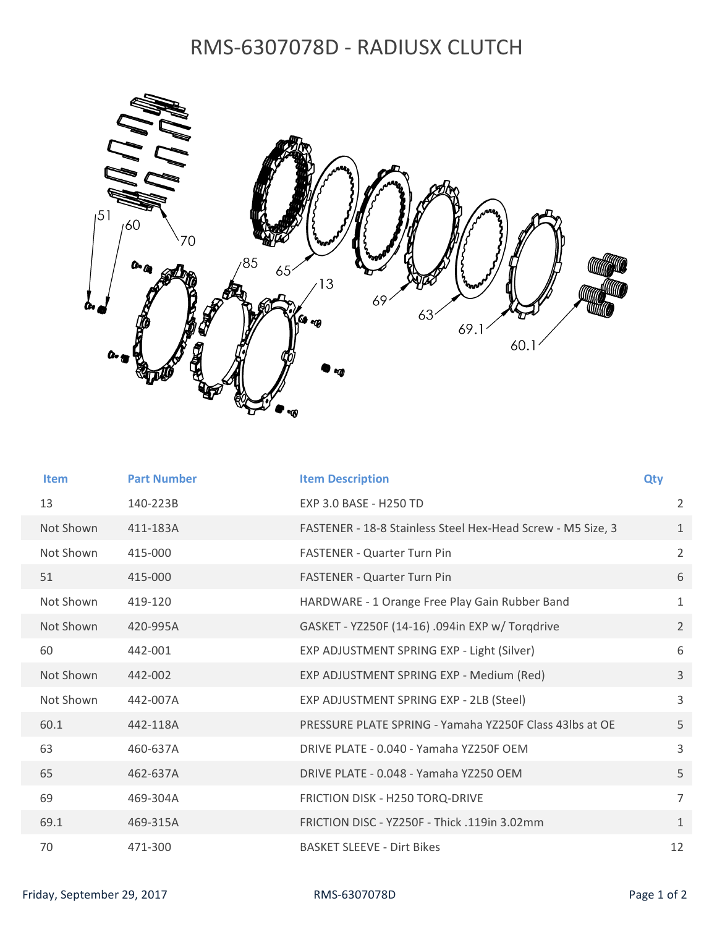## RMS‐6307078D ‐ RADIUSX CLUTCH



| <b>Item</b> | <b>Part Number</b> | <b>Item Description</b>                                     | <b>Qty</b>     |
|-------------|--------------------|-------------------------------------------------------------|----------------|
| 13          | 140-223B           | <b>FXP 3.0 BASE - H250 TD</b>                               | 2              |
| Not Shown   | 411-183A           | FASTENER - 18-8 Stainless Steel Hex-Head Screw - M5 Size, 3 | $\mathbf{1}$   |
| Not Shown   | 415-000            | <b>FASTENER - Quarter Turn Pin</b>                          | $\overline{2}$ |
| 51          | 415-000            | FASTENER - Quarter Turn Pin                                 | 6              |
| Not Shown   | 419-120            | HARDWARE - 1 Orange Free Play Gain Rubber Band              | 1              |
| Not Shown   | 420-995A           | GASKET - YZ250F (14-16) .094in EXP w/ Torgdrive             | $\overline{2}$ |
| 60          | 442-001            | EXP ADJUSTMENT SPRING EXP - Light (Silver)                  | 6              |
| Not Shown   | 442-002            | EXP ADJUSTMENT SPRING EXP - Medium (Red)                    | $\overline{3}$ |
| Not Shown   | 442-007A           | EXP ADJUSTMENT SPRING EXP - 2LB (Steel)                     | $\overline{3}$ |
| 60.1        | 442-118A           | PRESSURE PLATE SPRING - Yamaha YZ250F Class 43lbs at OE     | 5              |
| 63          | 460-637A           | DRIVE PLATE - 0.040 - Yamaha YZ250F OEM                     | 3              |
| 65          | 462-637A           | DRIVE PLATE - 0.048 - Yamaha YZ250 OEM                      | 5              |
| 69          | 469-304A           | FRICTION DISK - H250 TORQ-DRIVE                             | $\overline{7}$ |
| 69.1        | 469-315A           | FRICTION DISC - YZ250F - Thick .119in 3.02mm                | $\mathbf{1}$   |
| 70          | 471-300            | <b>BASKET SLEEVE - Dirt Bikes</b>                           | 12             |